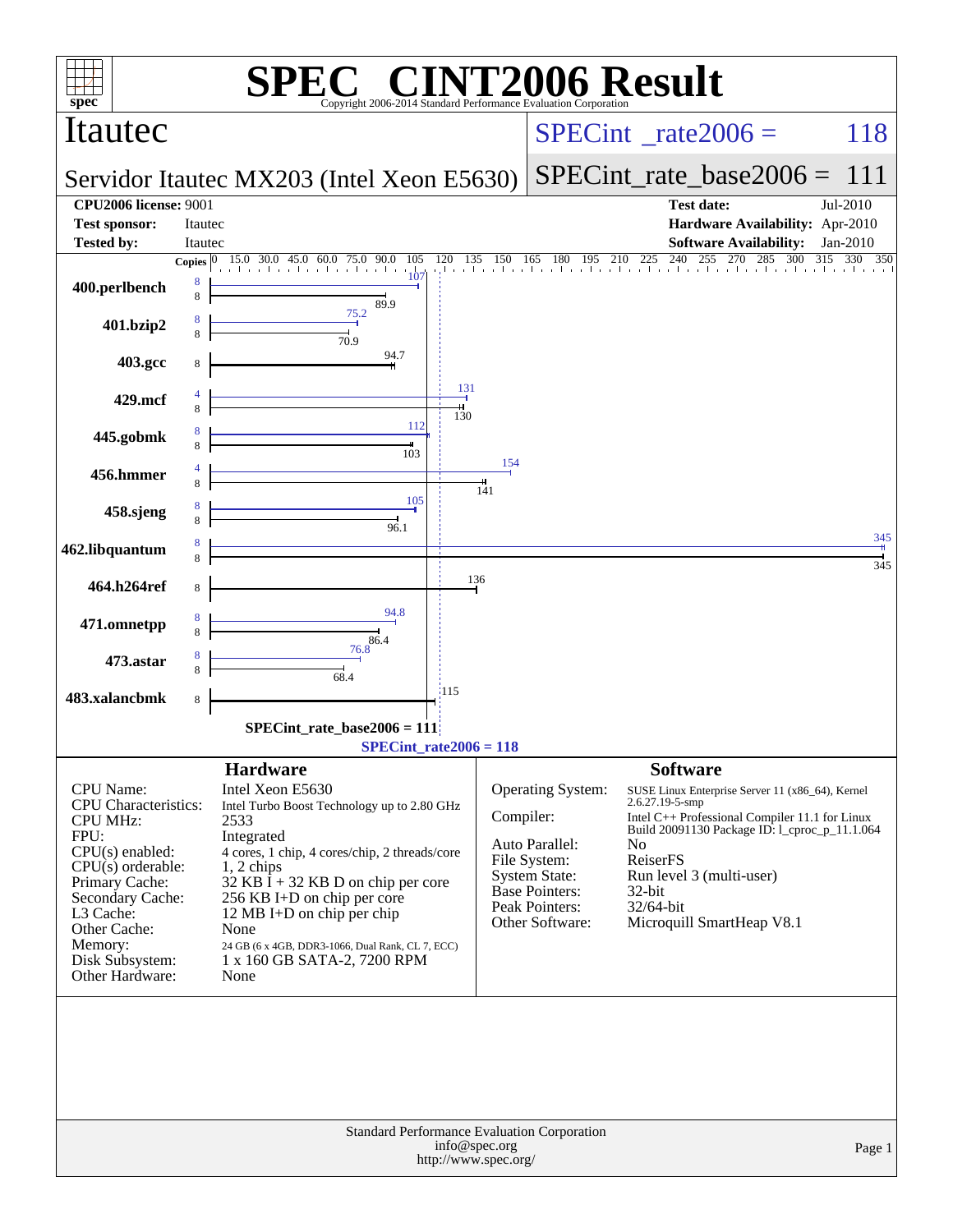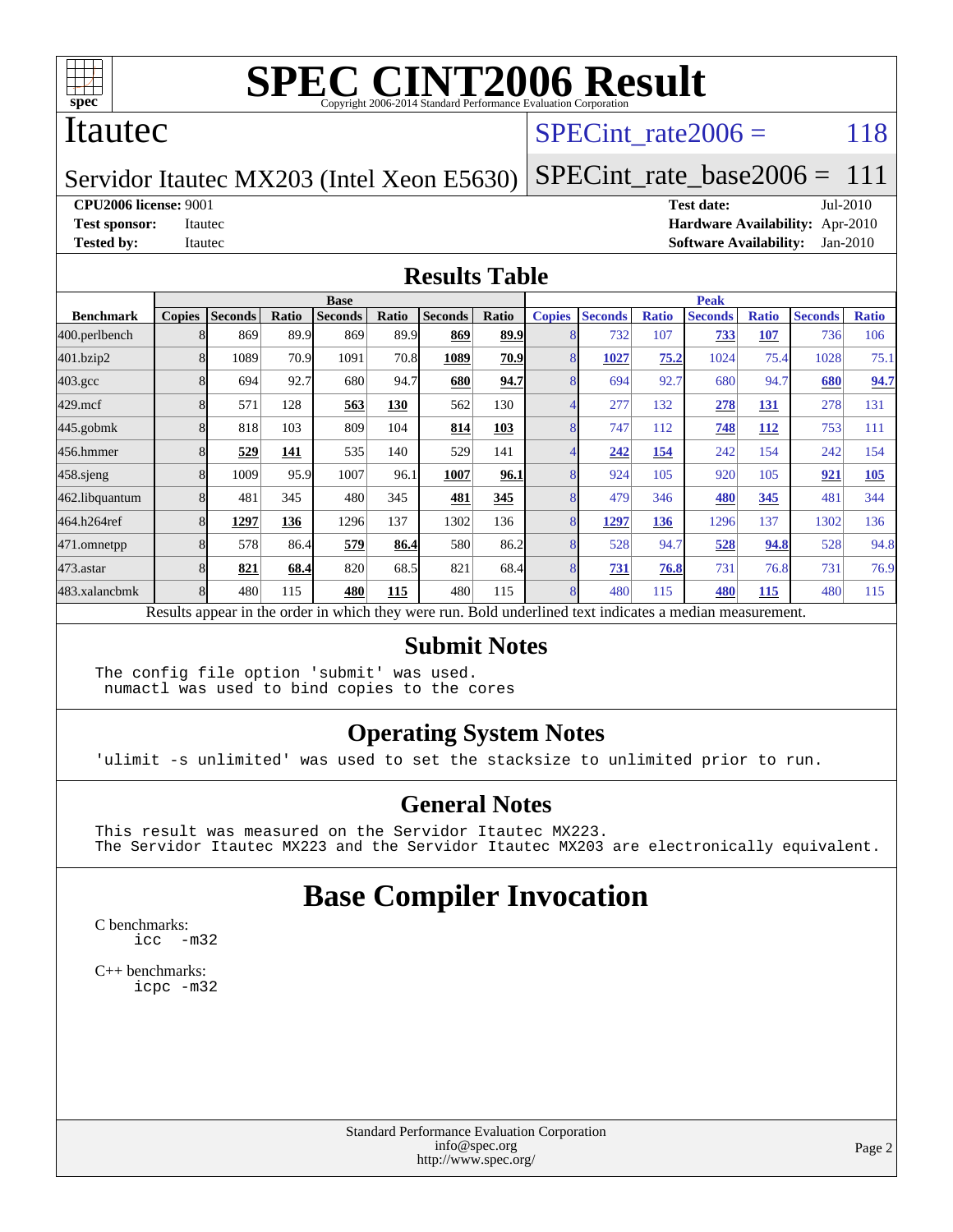

#### Itautec

#### SPECint rate $2006 = 118$

#### Servidor Itautec MX203 (Intel Xeon E5630)

**[CPU2006 license:](http://www.spec.org/auto/cpu2006/Docs/result-fields.html#CPU2006license)** 9001 **[Test date:](http://www.spec.org/auto/cpu2006/Docs/result-fields.html#Testdate)** Jul-2010 **[Test sponsor:](http://www.spec.org/auto/cpu2006/Docs/result-fields.html#Testsponsor)** Itautec **[Hardware Availability:](http://www.spec.org/auto/cpu2006/Docs/result-fields.html#HardwareAvailability)** Apr-2010 **[Tested by:](http://www.spec.org/auto/cpu2006/Docs/result-fields.html#Testedby)** Itautec **[Software Availability:](http://www.spec.org/auto/cpu2006/Docs/result-fields.html#SoftwareAvailability)** Jan-2010

[SPECint\\_rate\\_base2006 =](http://www.spec.org/auto/cpu2006/Docs/result-fields.html#SPECintratebase2006) 111

#### **[Results Table](http://www.spec.org/auto/cpu2006/Docs/result-fields.html#ResultsTable)**

|                  | <b>Base</b>   |                |       |                |       |                |       | <b>Peak</b>   |                |              |                                                                                                          |              |                |              |
|------------------|---------------|----------------|-------|----------------|-------|----------------|-------|---------------|----------------|--------------|----------------------------------------------------------------------------------------------------------|--------------|----------------|--------------|
| <b>Benchmark</b> | <b>Copies</b> | <b>Seconds</b> | Ratio | <b>Seconds</b> | Ratio | <b>Seconds</b> | Ratio | <b>Copies</b> | <b>Seconds</b> | <b>Ratio</b> | <b>Seconds</b>                                                                                           | <b>Ratio</b> | <b>Seconds</b> | <b>Ratio</b> |
| 400.perlbench    |               | 869            | 89.9  | 869            | 89.9  | 869            | 89.9  |               | 732            | 107          | 733                                                                                                      | 107          | 736            | 106          |
| 401.bzip2        |               | 1089           | 70.9  | 1091           | 70.8  | 1089           | 70.9  |               | 1027           | 75.2         | 1024                                                                                                     | 75.4         | 1028           | 75.1         |
| $403.\text{gcc}$ |               | 694            | 92.7  | 680            | 94.7  | 680            | 94.7  |               | 694            | 92.7         | 680                                                                                                      | 94.7         | 680            | 94.7         |
| $429$ .mcf       |               | 571            | 128   | 563            | 130   | 562            | 130   |               | 277            | 132          | 278                                                                                                      | 131          | 278            | 131          |
| $445$ .gobmk     |               | 818            | 103   | 809            | 104   | 814            | 103   |               | 747            | 112          | 748                                                                                                      | 112          | 753            | 111          |
| 456.hmmer        |               | 529            | 141   | 535            | 140   | 529            | 141   |               | 242            | 154          | 242                                                                                                      | 154          | 242            | 154          |
| $458$ .sjeng     |               | 1009           | 95.9  | 1007           | 96.1  | 1007           | 96.1  | 8             | 924            | 105          | 920                                                                                                      | 105          | 921            | 105          |
| 462.libquantum   |               | 481            | 345   | 480            | 345   | 481            | 345   |               | 479            | 346          | 480                                                                                                      | 345          | 481            | 344          |
| 464.h264ref      |               | 1297           | 136   | 1296           | 137   | 1302           | 136   |               | 1297           | 136          | 1296                                                                                                     | 137          | 1302           | 136          |
| 471.omnetpp      |               | 578            | 86.4  | 579            | 86.4  | 580            | 86.2  |               | 528            | 94.7         | 528                                                                                                      | 94.8         | 528            | 94.8         |
| $473$ . astar    |               | 821            | 68.4  | 820            | 68.5  | 821            | 68.4  |               | 731            | 76.8         | 731                                                                                                      | 76.8         | 731            | 76.9         |
| 483.xalancbmk    |               | 480            | 115   | 480            | 115   | 480            | 115   | 8             | 480            | 115          | 480                                                                                                      | 115          | 480            | 115          |
|                  |               |                |       |                |       |                |       |               |                |              | Results appear in the order in which they were run. Bold underlined text indicates a median measurement. |              |                |              |

#### **[Submit Notes](http://www.spec.org/auto/cpu2006/Docs/result-fields.html#SubmitNotes)**

The config file option 'submit' was used. numactl was used to bind copies to the cores

#### **[Operating System Notes](http://www.spec.org/auto/cpu2006/Docs/result-fields.html#OperatingSystemNotes)**

'ulimit -s unlimited' was used to set the stacksize to unlimited prior to run.

#### **[General Notes](http://www.spec.org/auto/cpu2006/Docs/result-fields.html#GeneralNotes)**

This result was measured on the Servidor Itautec MX223. The Servidor Itautec MX223 and the Servidor Itautec MX203 are electronically equivalent.

## **[Base Compiler Invocation](http://www.spec.org/auto/cpu2006/Docs/result-fields.html#BaseCompilerInvocation)**

[C benchmarks](http://www.spec.org/auto/cpu2006/Docs/result-fields.html#Cbenchmarks): [icc -m32](http://www.spec.org/cpu2006/results/res2010q3/cpu2006-20100715-12413.flags.html#user_CCbase_intel_icc_32bit_5ff4a39e364c98233615fdd38438c6f2)

[C++ benchmarks:](http://www.spec.org/auto/cpu2006/Docs/result-fields.html#CXXbenchmarks) [icpc -m32](http://www.spec.org/cpu2006/results/res2010q3/cpu2006-20100715-12413.flags.html#user_CXXbase_intel_icpc_32bit_4e5a5ef1a53fd332b3c49e69c3330699)

> Standard Performance Evaluation Corporation [info@spec.org](mailto:info@spec.org) <http://www.spec.org/>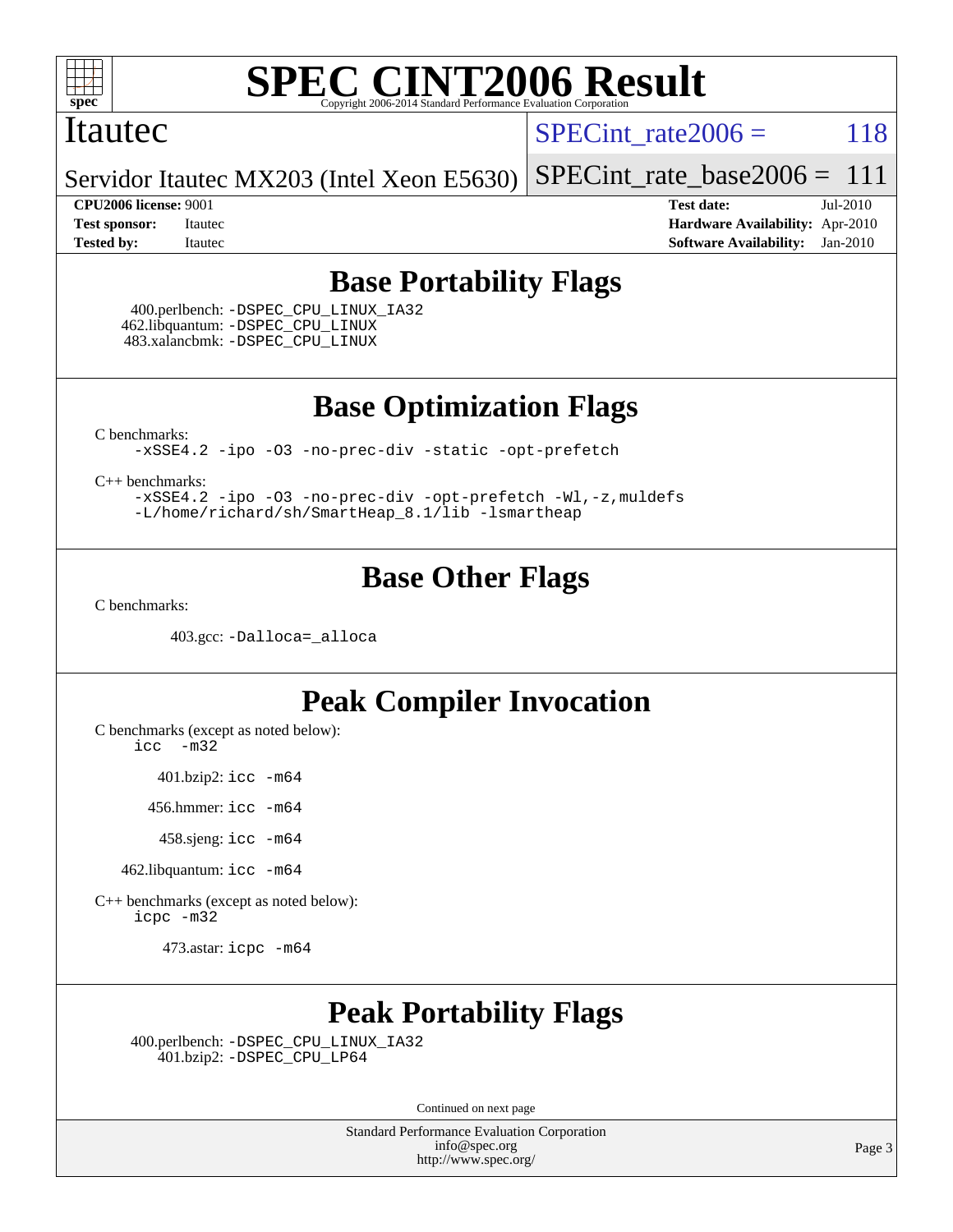

#### Itautec

SPECint rate $2006 = 118$ 

Servidor Itautec MX203 (Intel Xeon E5630) [SPECint\\_rate\\_base2006 =](http://www.spec.org/auto/cpu2006/Docs/result-fields.html#SPECintratebase2006)  $111$ 

**[CPU2006 license:](http://www.spec.org/auto/cpu2006/Docs/result-fields.html#CPU2006license)** 9001 **[Test date:](http://www.spec.org/auto/cpu2006/Docs/result-fields.html#Testdate)** Jul-2010 **[Test sponsor:](http://www.spec.org/auto/cpu2006/Docs/result-fields.html#Testsponsor)** Itautec **[Hardware Availability:](http://www.spec.org/auto/cpu2006/Docs/result-fields.html#HardwareAvailability)** Apr-2010 **[Tested by:](http://www.spec.org/auto/cpu2006/Docs/result-fields.html#Testedby)** Itautec **[Software Availability:](http://www.spec.org/auto/cpu2006/Docs/result-fields.html#SoftwareAvailability)** Jan-2010

### **[Base Portability Flags](http://www.spec.org/auto/cpu2006/Docs/result-fields.html#BasePortabilityFlags)**

 400.perlbench: [-DSPEC\\_CPU\\_LINUX\\_IA32](http://www.spec.org/cpu2006/results/res2010q3/cpu2006-20100715-12413.flags.html#b400.perlbench_baseCPORTABILITY_DSPEC_CPU_LINUX_IA32) 462.libquantum: [-DSPEC\\_CPU\\_LINUX](http://www.spec.org/cpu2006/results/res2010q3/cpu2006-20100715-12413.flags.html#b462.libquantum_baseCPORTABILITY_DSPEC_CPU_LINUX) 483.xalancbmk: [-DSPEC\\_CPU\\_LINUX](http://www.spec.org/cpu2006/results/res2010q3/cpu2006-20100715-12413.flags.html#b483.xalancbmk_baseCXXPORTABILITY_DSPEC_CPU_LINUX)

**[Base Optimization Flags](http://www.spec.org/auto/cpu2006/Docs/result-fields.html#BaseOptimizationFlags)**

[C benchmarks](http://www.spec.org/auto/cpu2006/Docs/result-fields.html#Cbenchmarks):

[-xSSE4.2](http://www.spec.org/cpu2006/results/res2010q3/cpu2006-20100715-12413.flags.html#user_CCbase_f-xSSE42_f91528193cf0b216347adb8b939d4107) [-ipo](http://www.spec.org/cpu2006/results/res2010q3/cpu2006-20100715-12413.flags.html#user_CCbase_f-ipo) [-O3](http://www.spec.org/cpu2006/results/res2010q3/cpu2006-20100715-12413.flags.html#user_CCbase_f-O3) [-no-prec-div](http://www.spec.org/cpu2006/results/res2010q3/cpu2006-20100715-12413.flags.html#user_CCbase_f-no-prec-div) [-static](http://www.spec.org/cpu2006/results/res2010q3/cpu2006-20100715-12413.flags.html#user_CCbase_f-static) [-opt-prefetch](http://www.spec.org/cpu2006/results/res2010q3/cpu2006-20100715-12413.flags.html#user_CCbase_f-opt-prefetch)

[C++ benchmarks:](http://www.spec.org/auto/cpu2006/Docs/result-fields.html#CXXbenchmarks)

[-xSSE4.2](http://www.spec.org/cpu2006/results/res2010q3/cpu2006-20100715-12413.flags.html#user_CXXbase_f-xSSE42_f91528193cf0b216347adb8b939d4107) [-ipo](http://www.spec.org/cpu2006/results/res2010q3/cpu2006-20100715-12413.flags.html#user_CXXbase_f-ipo) [-O3](http://www.spec.org/cpu2006/results/res2010q3/cpu2006-20100715-12413.flags.html#user_CXXbase_f-O3) [-no-prec-div](http://www.spec.org/cpu2006/results/res2010q3/cpu2006-20100715-12413.flags.html#user_CXXbase_f-no-prec-div) [-opt-prefetch](http://www.spec.org/cpu2006/results/res2010q3/cpu2006-20100715-12413.flags.html#user_CXXbase_f-opt-prefetch) [-Wl,-z,muldefs](http://www.spec.org/cpu2006/results/res2010q3/cpu2006-20100715-12413.flags.html#user_CXXbase_link_force_multiple1_74079c344b956b9658436fd1b6dd3a8a) [-L/home/richard/sh/SmartHeap\\_8.1/lib -lsmartheap](http://www.spec.org/cpu2006/results/res2010q3/cpu2006-20100715-12413.flags.html#user_CXXbase_SmartHeap_ca89174614665f48817f3d388ddc383c)

## **[Base Other Flags](http://www.spec.org/auto/cpu2006/Docs/result-fields.html#BaseOtherFlags)**

[C benchmarks](http://www.spec.org/auto/cpu2006/Docs/result-fields.html#Cbenchmarks):

403.gcc: [-Dalloca=\\_alloca](http://www.spec.org/cpu2006/results/res2010q3/cpu2006-20100715-12413.flags.html#b403.gcc_baseEXTRA_CFLAGS_Dalloca_be3056838c12de2578596ca5467af7f3)

## **[Peak Compiler Invocation](http://www.spec.org/auto/cpu2006/Docs/result-fields.html#PeakCompilerInvocation)**

[C benchmarks \(except as noted below\)](http://www.spec.org/auto/cpu2006/Docs/result-fields.html#Cbenchmarksexceptasnotedbelow):

[icc -m32](http://www.spec.org/cpu2006/results/res2010q3/cpu2006-20100715-12413.flags.html#user_CCpeak_intel_icc_32bit_5ff4a39e364c98233615fdd38438c6f2)

401.bzip2: [icc -m64](http://www.spec.org/cpu2006/results/res2010q3/cpu2006-20100715-12413.flags.html#user_peakCCLD401_bzip2_intel_icc_64bit_bda6cc9af1fdbb0edc3795bac97ada53)

456.hmmer: [icc -m64](http://www.spec.org/cpu2006/results/res2010q3/cpu2006-20100715-12413.flags.html#user_peakCCLD456_hmmer_intel_icc_64bit_bda6cc9af1fdbb0edc3795bac97ada53)

458.sjeng: [icc -m64](http://www.spec.org/cpu2006/results/res2010q3/cpu2006-20100715-12413.flags.html#user_peakCCLD458_sjeng_intel_icc_64bit_bda6cc9af1fdbb0edc3795bac97ada53)

462.libquantum: [icc -m64](http://www.spec.org/cpu2006/results/res2010q3/cpu2006-20100715-12413.flags.html#user_peakCCLD462_libquantum_intel_icc_64bit_bda6cc9af1fdbb0edc3795bac97ada53)

[C++ benchmarks \(except as noted below\):](http://www.spec.org/auto/cpu2006/Docs/result-fields.html#CXXbenchmarksexceptasnotedbelow) [icpc -m32](http://www.spec.org/cpu2006/results/res2010q3/cpu2006-20100715-12413.flags.html#user_CXXpeak_intel_icpc_32bit_4e5a5ef1a53fd332b3c49e69c3330699)

473.astar: [icpc -m64](http://www.spec.org/cpu2006/results/res2010q3/cpu2006-20100715-12413.flags.html#user_peakCXXLD473_astar_intel_icpc_64bit_fc66a5337ce925472a5c54ad6a0de310)

## **[Peak Portability Flags](http://www.spec.org/auto/cpu2006/Docs/result-fields.html#PeakPortabilityFlags)**

 400.perlbench: [-DSPEC\\_CPU\\_LINUX\\_IA32](http://www.spec.org/cpu2006/results/res2010q3/cpu2006-20100715-12413.flags.html#b400.perlbench_peakCPORTABILITY_DSPEC_CPU_LINUX_IA32) 401.bzip2: [-DSPEC\\_CPU\\_LP64](http://www.spec.org/cpu2006/results/res2010q3/cpu2006-20100715-12413.flags.html#suite_peakCPORTABILITY401_bzip2_DSPEC_CPU_LP64)

Continued on next page

Standard Performance Evaluation Corporation [info@spec.org](mailto:info@spec.org) <http://www.spec.org/>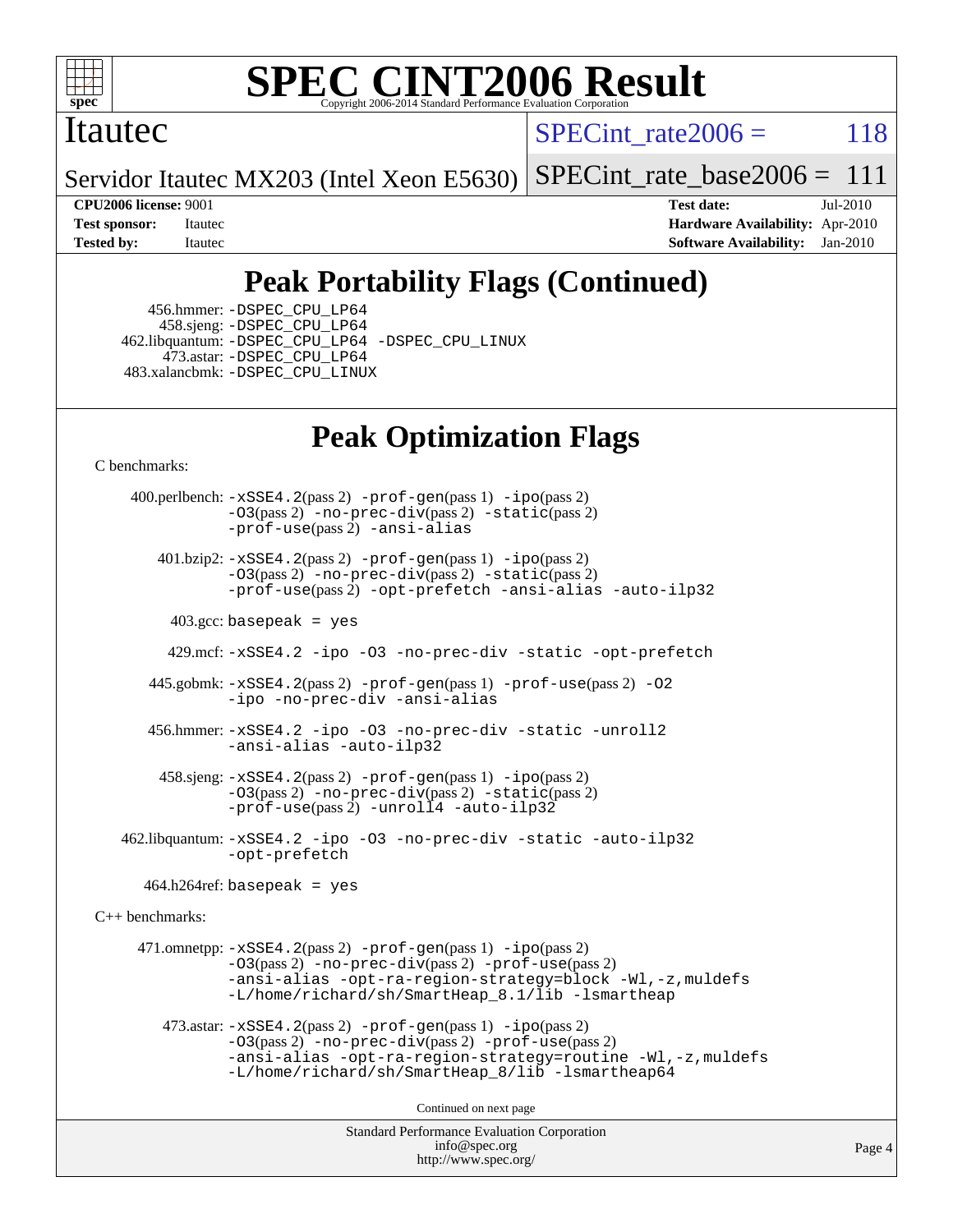

#### Itautec

SPECint rate $2006 = 118$ 

Servidor Itautec MX203 (Intel Xeon E5630)  $SPECTnt$  rate base  $2006 = 111$ 

**[CPU2006 license:](http://www.spec.org/auto/cpu2006/Docs/result-fields.html#CPU2006license)** 9001 **[Test date:](http://www.spec.org/auto/cpu2006/Docs/result-fields.html#Testdate)** Jul-2010 **[Test sponsor:](http://www.spec.org/auto/cpu2006/Docs/result-fields.html#Testsponsor)** Itautec **[Hardware Availability:](http://www.spec.org/auto/cpu2006/Docs/result-fields.html#HardwareAvailability)** Apr-2010 **[Tested by:](http://www.spec.org/auto/cpu2006/Docs/result-fields.html#Testedby)** Itautec **[Software Availability:](http://www.spec.org/auto/cpu2006/Docs/result-fields.html#SoftwareAvailability)** Jan-2010

# **[Peak Portability Flags \(Continued\)](http://www.spec.org/auto/cpu2006/Docs/result-fields.html#PeakPortabilityFlags)**

 456.hmmer: [-DSPEC\\_CPU\\_LP64](http://www.spec.org/cpu2006/results/res2010q3/cpu2006-20100715-12413.flags.html#suite_peakCPORTABILITY456_hmmer_DSPEC_CPU_LP64) 458.sjeng: [-DSPEC\\_CPU\\_LP64](http://www.spec.org/cpu2006/results/res2010q3/cpu2006-20100715-12413.flags.html#suite_peakCPORTABILITY458_sjeng_DSPEC_CPU_LP64) 462.libquantum: [-DSPEC\\_CPU\\_LP64](http://www.spec.org/cpu2006/results/res2010q3/cpu2006-20100715-12413.flags.html#suite_peakCPORTABILITY462_libquantum_DSPEC_CPU_LP64) [-DSPEC\\_CPU\\_LINUX](http://www.spec.org/cpu2006/results/res2010q3/cpu2006-20100715-12413.flags.html#b462.libquantum_peakCPORTABILITY_DSPEC_CPU_LINUX) 473.astar: [-DSPEC\\_CPU\\_LP64](http://www.spec.org/cpu2006/results/res2010q3/cpu2006-20100715-12413.flags.html#suite_peakCXXPORTABILITY473_astar_DSPEC_CPU_LP64) 483.xalancbmk: [-DSPEC\\_CPU\\_LINUX](http://www.spec.org/cpu2006/results/res2010q3/cpu2006-20100715-12413.flags.html#b483.xalancbmk_peakCXXPORTABILITY_DSPEC_CPU_LINUX)

# **[Peak Optimization Flags](http://www.spec.org/auto/cpu2006/Docs/result-fields.html#PeakOptimizationFlags)**

[C benchmarks](http://www.spec.org/auto/cpu2006/Docs/result-fields.html#Cbenchmarks):

Standard Performance Evaluation Corporation [info@spec.org](mailto:info@spec.org) 400.perlbench: [-xSSE4.2](http://www.spec.org/cpu2006/results/res2010q3/cpu2006-20100715-12413.flags.html#user_peakPASS2_CFLAGSPASS2_LDCFLAGS400_perlbench_f-xSSE42_f91528193cf0b216347adb8b939d4107)(pass 2) [-prof-gen](http://www.spec.org/cpu2006/results/res2010q3/cpu2006-20100715-12413.flags.html#user_peakPASS1_CFLAGSPASS1_LDCFLAGS400_perlbench_prof_gen_e43856698f6ca7b7e442dfd80e94a8fc)(pass 1) [-ipo](http://www.spec.org/cpu2006/results/res2010q3/cpu2006-20100715-12413.flags.html#user_peakPASS2_CFLAGSPASS2_LDCFLAGS400_perlbench_f-ipo)(pass 2)  $-03$ (pass 2)  $-$ no-prec-div(pass 2)  $-$ static(pass 2) [-prof-use](http://www.spec.org/cpu2006/results/res2010q3/cpu2006-20100715-12413.flags.html#user_peakPASS2_CFLAGSPASS2_LDCFLAGS400_perlbench_prof_use_bccf7792157ff70d64e32fe3e1250b55)(pass 2) [-ansi-alias](http://www.spec.org/cpu2006/results/res2010q3/cpu2006-20100715-12413.flags.html#user_peakCOPTIMIZE400_perlbench_f-ansi-alias) 401.bzip2: [-xSSE4.2](http://www.spec.org/cpu2006/results/res2010q3/cpu2006-20100715-12413.flags.html#user_peakPASS2_CFLAGSPASS2_LDCFLAGS401_bzip2_f-xSSE42_f91528193cf0b216347adb8b939d4107)(pass 2) [-prof-gen](http://www.spec.org/cpu2006/results/res2010q3/cpu2006-20100715-12413.flags.html#user_peakPASS1_CFLAGSPASS1_LDCFLAGS401_bzip2_prof_gen_e43856698f6ca7b7e442dfd80e94a8fc)(pass 1) [-ipo](http://www.spec.org/cpu2006/results/res2010q3/cpu2006-20100715-12413.flags.html#user_peakPASS2_CFLAGSPASS2_LDCFLAGS401_bzip2_f-ipo)(pass 2) [-O3](http://www.spec.org/cpu2006/results/res2010q3/cpu2006-20100715-12413.flags.html#user_peakPASS2_CFLAGSPASS2_LDCFLAGS401_bzip2_f-O3)(pass 2) [-no-prec-div](http://www.spec.org/cpu2006/results/res2010q3/cpu2006-20100715-12413.flags.html#user_peakPASS2_CFLAGSPASS2_LDCFLAGS401_bzip2_f-no-prec-div)(pass 2) [-static](http://www.spec.org/cpu2006/results/res2010q3/cpu2006-20100715-12413.flags.html#user_peakPASS2_CFLAGSPASS2_LDCFLAGS401_bzip2_f-static)(pass 2) [-prof-use](http://www.spec.org/cpu2006/results/res2010q3/cpu2006-20100715-12413.flags.html#user_peakPASS2_CFLAGSPASS2_LDCFLAGS401_bzip2_prof_use_bccf7792157ff70d64e32fe3e1250b55)(pass 2) [-opt-prefetch](http://www.spec.org/cpu2006/results/res2010q3/cpu2006-20100715-12413.flags.html#user_peakCOPTIMIZE401_bzip2_f-opt-prefetch) [-ansi-alias](http://www.spec.org/cpu2006/results/res2010q3/cpu2006-20100715-12413.flags.html#user_peakCOPTIMIZE401_bzip2_f-ansi-alias) [-auto-ilp32](http://www.spec.org/cpu2006/results/res2010q3/cpu2006-20100715-12413.flags.html#user_peakCOPTIMIZE401_bzip2_f-auto-ilp32) 403.gcc: basepeak = yes 429.mcf: [-xSSE4.2](http://www.spec.org/cpu2006/results/res2010q3/cpu2006-20100715-12413.flags.html#user_peakCOPTIMIZE429_mcf_f-xSSE42_f91528193cf0b216347adb8b939d4107) [-ipo](http://www.spec.org/cpu2006/results/res2010q3/cpu2006-20100715-12413.flags.html#user_peakCOPTIMIZE429_mcf_f-ipo) [-O3](http://www.spec.org/cpu2006/results/res2010q3/cpu2006-20100715-12413.flags.html#user_peakCOPTIMIZE429_mcf_f-O3) [-no-prec-div](http://www.spec.org/cpu2006/results/res2010q3/cpu2006-20100715-12413.flags.html#user_peakCOPTIMIZE429_mcf_f-no-prec-div) [-static](http://www.spec.org/cpu2006/results/res2010q3/cpu2006-20100715-12413.flags.html#user_peakCOPTIMIZE429_mcf_f-static) [-opt-prefetch](http://www.spec.org/cpu2006/results/res2010q3/cpu2006-20100715-12413.flags.html#user_peakCOPTIMIZE429_mcf_f-opt-prefetch) 445.gobmk: [-xSSE4.2](http://www.spec.org/cpu2006/results/res2010q3/cpu2006-20100715-12413.flags.html#user_peakPASS2_CFLAGSPASS2_LDCFLAGS445_gobmk_f-xSSE42_f91528193cf0b216347adb8b939d4107)(pass 2) [-prof-gen](http://www.spec.org/cpu2006/results/res2010q3/cpu2006-20100715-12413.flags.html#user_peakPASS1_CFLAGSPASS1_LDCFLAGS445_gobmk_prof_gen_e43856698f6ca7b7e442dfd80e94a8fc)(pass 1) [-prof-use](http://www.spec.org/cpu2006/results/res2010q3/cpu2006-20100715-12413.flags.html#user_peakPASS2_CFLAGSPASS2_LDCFLAGS445_gobmk_prof_use_bccf7792157ff70d64e32fe3e1250b55)(pass 2) [-O2](http://www.spec.org/cpu2006/results/res2010q3/cpu2006-20100715-12413.flags.html#user_peakCOPTIMIZE445_gobmk_f-O2) [-ipo](http://www.spec.org/cpu2006/results/res2010q3/cpu2006-20100715-12413.flags.html#user_peakCOPTIMIZE445_gobmk_f-ipo) [-no-prec-div](http://www.spec.org/cpu2006/results/res2010q3/cpu2006-20100715-12413.flags.html#user_peakCOPTIMIZE445_gobmk_f-no-prec-div) [-ansi-alias](http://www.spec.org/cpu2006/results/res2010q3/cpu2006-20100715-12413.flags.html#user_peakCOPTIMIZE445_gobmk_f-ansi-alias) 456.hmmer: [-xSSE4.2](http://www.spec.org/cpu2006/results/res2010q3/cpu2006-20100715-12413.flags.html#user_peakCOPTIMIZE456_hmmer_f-xSSE42_f91528193cf0b216347adb8b939d4107) [-ipo](http://www.spec.org/cpu2006/results/res2010q3/cpu2006-20100715-12413.flags.html#user_peakCOPTIMIZE456_hmmer_f-ipo) [-O3](http://www.spec.org/cpu2006/results/res2010q3/cpu2006-20100715-12413.flags.html#user_peakCOPTIMIZE456_hmmer_f-O3) [-no-prec-div](http://www.spec.org/cpu2006/results/res2010q3/cpu2006-20100715-12413.flags.html#user_peakCOPTIMIZE456_hmmer_f-no-prec-div) [-static](http://www.spec.org/cpu2006/results/res2010q3/cpu2006-20100715-12413.flags.html#user_peakCOPTIMIZE456_hmmer_f-static) [-unroll2](http://www.spec.org/cpu2006/results/res2010q3/cpu2006-20100715-12413.flags.html#user_peakCOPTIMIZE456_hmmer_f-unroll_784dae83bebfb236979b41d2422d7ec2) [-ansi-alias](http://www.spec.org/cpu2006/results/res2010q3/cpu2006-20100715-12413.flags.html#user_peakCOPTIMIZE456_hmmer_f-ansi-alias) [-auto-ilp32](http://www.spec.org/cpu2006/results/res2010q3/cpu2006-20100715-12413.flags.html#user_peakCOPTIMIZE456_hmmer_f-auto-ilp32) 458.sjeng: [-xSSE4.2](http://www.spec.org/cpu2006/results/res2010q3/cpu2006-20100715-12413.flags.html#user_peakPASS2_CFLAGSPASS2_LDCFLAGS458_sjeng_f-xSSE42_f91528193cf0b216347adb8b939d4107)(pass 2) [-prof-gen](http://www.spec.org/cpu2006/results/res2010q3/cpu2006-20100715-12413.flags.html#user_peakPASS1_CFLAGSPASS1_LDCFLAGS458_sjeng_prof_gen_e43856698f6ca7b7e442dfd80e94a8fc)(pass 1) [-ipo](http://www.spec.org/cpu2006/results/res2010q3/cpu2006-20100715-12413.flags.html#user_peakPASS2_CFLAGSPASS2_LDCFLAGS458_sjeng_f-ipo)(pass 2) [-O3](http://www.spec.org/cpu2006/results/res2010q3/cpu2006-20100715-12413.flags.html#user_peakPASS2_CFLAGSPASS2_LDCFLAGS458_sjeng_f-O3)(pass 2) [-no-prec-div](http://www.spec.org/cpu2006/results/res2010q3/cpu2006-20100715-12413.flags.html#user_peakPASS2_CFLAGSPASS2_LDCFLAGS458_sjeng_f-no-prec-div)(pass 2) [-static](http://www.spec.org/cpu2006/results/res2010q3/cpu2006-20100715-12413.flags.html#user_peakPASS2_CFLAGSPASS2_LDCFLAGS458_sjeng_f-static)(pass 2) [-prof-use](http://www.spec.org/cpu2006/results/res2010q3/cpu2006-20100715-12413.flags.html#user_peakPASS2_CFLAGSPASS2_LDCFLAGS458_sjeng_prof_use_bccf7792157ff70d64e32fe3e1250b55)(pass 2) [-unroll4](http://www.spec.org/cpu2006/results/res2010q3/cpu2006-20100715-12413.flags.html#user_peakCOPTIMIZE458_sjeng_f-unroll_4e5e4ed65b7fd20bdcd365bec371b81f) [-auto-ilp32](http://www.spec.org/cpu2006/results/res2010q3/cpu2006-20100715-12413.flags.html#user_peakCOPTIMIZE458_sjeng_f-auto-ilp32) 462.libquantum: [-xSSE4.2](http://www.spec.org/cpu2006/results/res2010q3/cpu2006-20100715-12413.flags.html#user_peakCOPTIMIZE462_libquantum_f-xSSE42_f91528193cf0b216347adb8b939d4107) [-ipo](http://www.spec.org/cpu2006/results/res2010q3/cpu2006-20100715-12413.flags.html#user_peakCOPTIMIZE462_libquantum_f-ipo) [-O3](http://www.spec.org/cpu2006/results/res2010q3/cpu2006-20100715-12413.flags.html#user_peakCOPTIMIZE462_libquantum_f-O3) [-no-prec-div](http://www.spec.org/cpu2006/results/res2010q3/cpu2006-20100715-12413.flags.html#user_peakCOPTIMIZE462_libquantum_f-no-prec-div) [-static](http://www.spec.org/cpu2006/results/res2010q3/cpu2006-20100715-12413.flags.html#user_peakCOPTIMIZE462_libquantum_f-static) [-auto-ilp32](http://www.spec.org/cpu2006/results/res2010q3/cpu2006-20100715-12413.flags.html#user_peakCOPTIMIZE462_libquantum_f-auto-ilp32) [-opt-prefetch](http://www.spec.org/cpu2006/results/res2010q3/cpu2006-20100715-12413.flags.html#user_peakCOPTIMIZE462_libquantum_f-opt-prefetch)  $464.h264$ ref: basepeak = yes [C++ benchmarks:](http://www.spec.org/auto/cpu2006/Docs/result-fields.html#CXXbenchmarks) 471.omnetpp:  $-xSSE4$ . 2(pass 2)  $-prof-qen(pass 1) -ipo(pass 2)$  $-prof-qen(pass 1) -ipo(pass 2)$  $-prof-qen(pass 1) -ipo(pass 2)$ [-O3](http://www.spec.org/cpu2006/results/res2010q3/cpu2006-20100715-12413.flags.html#user_peakPASS2_CXXFLAGSPASS2_LDCXXFLAGS471_omnetpp_f-O3)(pass 2) [-no-prec-div](http://www.spec.org/cpu2006/results/res2010q3/cpu2006-20100715-12413.flags.html#user_peakPASS2_CXXFLAGSPASS2_LDCXXFLAGS471_omnetpp_f-no-prec-div)(pass 2) [-prof-use](http://www.spec.org/cpu2006/results/res2010q3/cpu2006-20100715-12413.flags.html#user_peakPASS2_CXXFLAGSPASS2_LDCXXFLAGS471_omnetpp_prof_use_bccf7792157ff70d64e32fe3e1250b55)(pass 2) [-ansi-alias](http://www.spec.org/cpu2006/results/res2010q3/cpu2006-20100715-12413.flags.html#user_peakCXXOPTIMIZE471_omnetpp_f-ansi-alias) [-opt-ra-region-strategy=block](http://www.spec.org/cpu2006/results/res2010q3/cpu2006-20100715-12413.flags.html#user_peakCXXOPTIMIZE471_omnetpp_f-opt-ra-region-strategy-block_a0a37c372d03933b2a18d4af463c1f69) [-Wl,-z,muldefs](http://www.spec.org/cpu2006/results/res2010q3/cpu2006-20100715-12413.flags.html#user_peakEXTRA_LDFLAGS471_omnetpp_link_force_multiple1_74079c344b956b9658436fd1b6dd3a8a) [-L/home/richard/sh/SmartHeap\\_8.1/lib -lsmartheap](http://www.spec.org/cpu2006/results/res2010q3/cpu2006-20100715-12413.flags.html#user_peakEXTRA_LIBS471_omnetpp_SmartHeap_ca89174614665f48817f3d388ddc383c) 473.astar: [-xSSE4.2](http://www.spec.org/cpu2006/results/res2010q3/cpu2006-20100715-12413.flags.html#user_peakPASS2_CXXFLAGSPASS2_LDCXXFLAGS473_astar_f-xSSE42_f91528193cf0b216347adb8b939d4107)(pass 2) [-prof-gen](http://www.spec.org/cpu2006/results/res2010q3/cpu2006-20100715-12413.flags.html#user_peakPASS1_CXXFLAGSPASS1_LDCXXFLAGS473_astar_prof_gen_e43856698f6ca7b7e442dfd80e94a8fc)(pass 1) [-ipo](http://www.spec.org/cpu2006/results/res2010q3/cpu2006-20100715-12413.flags.html#user_peakPASS2_CXXFLAGSPASS2_LDCXXFLAGS473_astar_f-ipo)(pass 2) [-O3](http://www.spec.org/cpu2006/results/res2010q3/cpu2006-20100715-12413.flags.html#user_peakPASS2_CXXFLAGSPASS2_LDCXXFLAGS473_astar_f-O3)(pass 2) [-no-prec-div](http://www.spec.org/cpu2006/results/res2010q3/cpu2006-20100715-12413.flags.html#user_peakPASS2_CXXFLAGSPASS2_LDCXXFLAGS473_astar_f-no-prec-div)(pass 2) [-prof-use](http://www.spec.org/cpu2006/results/res2010q3/cpu2006-20100715-12413.flags.html#user_peakPASS2_CXXFLAGSPASS2_LDCXXFLAGS473_astar_prof_use_bccf7792157ff70d64e32fe3e1250b55)(pass 2) [-ansi-alias](http://www.spec.org/cpu2006/results/res2010q3/cpu2006-20100715-12413.flags.html#user_peakCXXOPTIMIZE473_astar_f-ansi-alias) [-opt-ra-region-strategy=routine](http://www.spec.org/cpu2006/results/res2010q3/cpu2006-20100715-12413.flags.html#user_peakCXXOPTIMIZE473_astar_f-opt-ra-region-strategy-routine_ba086ea3b1d46a52e1238e2ca173ed44) [-Wl,-z,muldefs](http://www.spec.org/cpu2006/results/res2010q3/cpu2006-20100715-12413.flags.html#user_peakEXTRA_LDFLAGS473_astar_link_force_multiple1_74079c344b956b9658436fd1b6dd3a8a) [-L/home/richard/sh/SmartHeap\\_8/lib -lsmartheap64](http://www.spec.org/cpu2006/results/res2010q3/cpu2006-20100715-12413.flags.html#user_peakEXTRA_LIBS473_astar_SmartHeap64_6dcf82733cc900f52a62ba8d71f5b4d0) Continued on next page

<http://www.spec.org/>